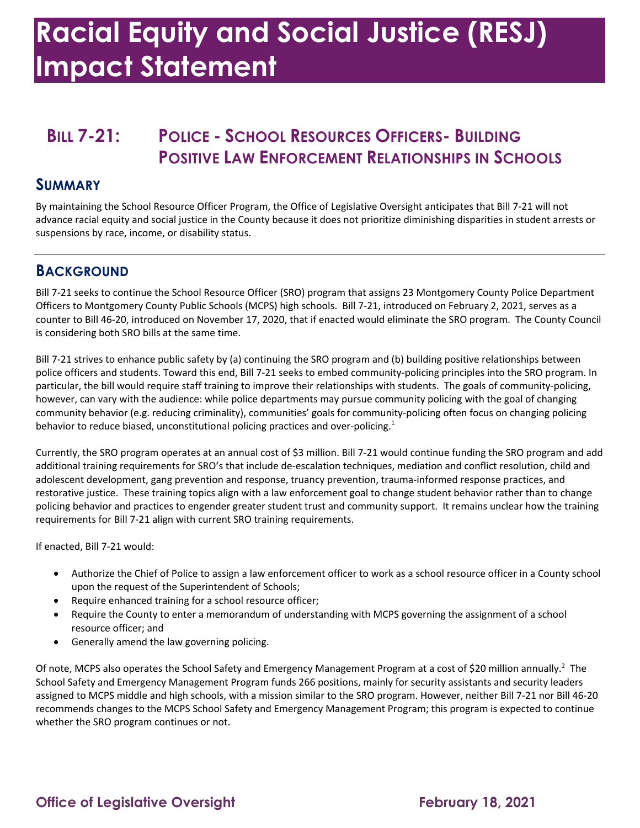# **Racial Equity and Social Justice (RESJ) Impact Statement**

## **BILL 7-21: POLICE - SCHOOL RESOURCES OFFICERS- BUILDING POSITIVE LAW ENFORCEMENT RELATIONSHIPS IN SCHOOLS**

#### **SUMMARY**

 By maintaining the School Resource Officer Program, the Office of Legislative Oversight anticipates that Bill 7-21 will not advance racial equity and social justice in the County because it does not prioritize diminishing disparities in student arrests or suspensions by race, income, or disability status.

#### **BACKGROUND**

 Bill 7-21 seeks to continue the School Resource Officer (SRO) program that assigns 23 Montgomery County Police Department Officers to Montgomery County Public Schools (MCPS) high schools. Bill 7-21, introduced on February 2, 2021, serves as a counter to Bill 46-20, introduced on November 17, 2020, that if enacted would eliminate the SRO program. The County Council is considering both SRO bills at the same time.

 Bill 7-21 strives to enhance public safety by (a) continuing the SRO program and (b) building positive relationships between police officers and students. Toward this end, Bill 7-21 seeks to embed community-policing principles into the SRO program. In particular, the bill would require staff training to improve their relationships with students. The goals of community-policing, however, can vary with the audience: while police departments may pursue community policing with the goal of changing behavior to reduce biased, unconstitutional policing practices and over-policing.<sup>1</sup> community behavior (e.g. reducing criminality), communities' goals for community-policing often focus on changing policing

 Currently, the SRO program operates at an annual cost of \$3 million. Bill 7-21 would continue funding the SRO program and add additional training requirements for SRO's that include de-escalation techniques, mediation and conflict resolution, child and adolescent development, gang prevention and response, truancy prevention, trauma-informed response practices, and restorative justice. These training topics align with a law enforcement goal to change student behavior rather than to change policing behavior and practices to engender greater student trust and community support. It remains unclear how the training requirements for Bill 7-21 align with current SRO training requirements.

If enacted, Bill 7-21 would:

- • Authorize the Chief of Police to assign a law enforcement officer to work as a school resource officer in a County school upon the request of the Superintendent of Schools;
- Require enhanced training for a school resource officer;
- • Require the County to enter a memorandum of understanding with MCPS governing the assignment of a school resource officer; and
- Generally amend the law governing policing.

Of note, MCPS also operates the School Safety and Emergency Management Program at a cost of \$20 million annually.<sup>2</sup> The School Safety and Emergency Management Program funds 266 positions, mainly for security assistants and security leaders assigned to MCPS middle and high schools, with a mission similar to the SRO program. However, neither Bill 7-21 nor Bill 46-20 recommends changes to the MCPS School Safety and Emergency Management Program; this program is expected to continue whether the SRO program continues or not.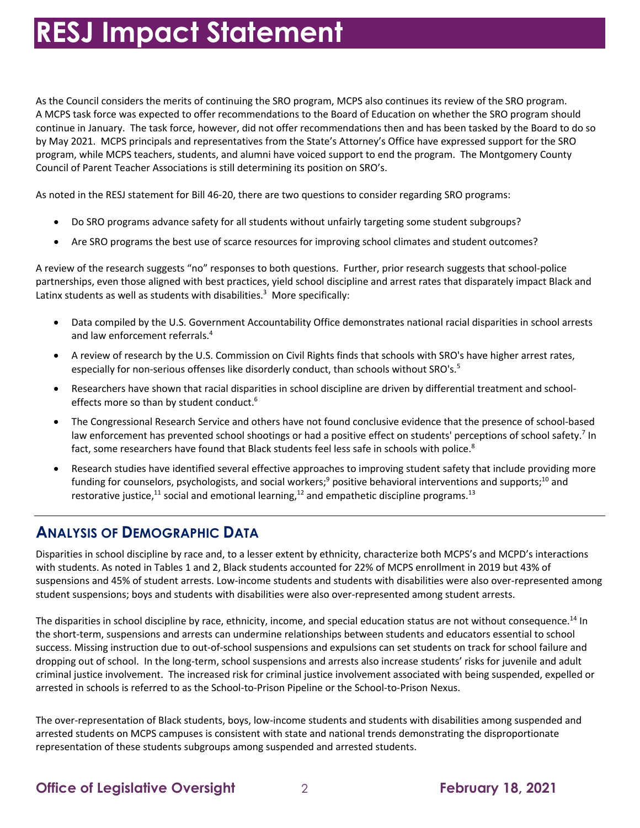As the Council considers the merits of continuing the SRO program, MCPS also continues its review of the SRO program. A MCPS task force was expected to offer recommendations to the Board of Education on whether the SRO program should continue in January. The task force, however, did not offer recommendations then and has been tasked by the Board to do so by May 2021. MCPS principals and representatives from the State's Attorney's Office have expressed support for the SRO program, while MCPS teachers, students, and alumni have voiced support to end the program. The Montgomery County Council of Parent Teacher Associations is still determining its position on SRO's.

As noted in the RESJ statement for Bill 46-20, there are two questions to consider regarding SRO programs:

- Do SRO programs advance safety for all students without unfairly targeting some student subgroups?
- Are SRO programs the best use of scarce resources for improving school climates and student outcomes?

 A review of the research suggests "no" responses to both questions. Further, prior research suggests that school-police partnerships, even those aligned with best practices, yield school discipline and arrest rates that disparately impact Black and Latinx students as well as students with disabilities.<sup>3</sup> More specifically:

- • Data compiled by the U.S. Government Accountability Office demonstrates national racial disparities in school arrests and law enforcement referrals. 4
- • A review of research by the U.S. Commission on Civil Rights finds that schools with SRO's have higher arrest rates, especially for non-serious offenses like disorderly conduct, than schools without SRO's.<sup>5</sup>
- • Researchers have shown that racial disparities in school discipline are driven by differential treatment and schooleffects more so than by student conduct.<sup>6</sup>
- • The Congressional Research Service and others have not found conclusive evidence that the presence of school-based fact, some researchers have found that Black students feel less safe in schools with police.<sup>8</sup> law enforcement has prevented school shootings or had a positive effect on students' perceptions of school safety.<sup>7</sup> In
- • Research studies have identified several effective approaches to improving student safety that include providing more funding for counselors, psychologists, and social workers;<sup>9</sup> positive behavioral interventions and supports;<sup>10</sup> and restorative justice,<sup>11</sup> social and emotional learning,<sup>12</sup> and empathetic discipline programs.<sup>13</sup>

#### **ANALYSIS OF DEMOGRAPHIC DATA**

 Disparities in school discipline by race and, to a lesser extent by ethnicity, characterize both MCPS's and MCPD's interactions with students. As noted in Tables 1 and 2, Black students accounted for 22% of MCPS enrollment in 2019 but 43% of suspensions and 45% of student arrests. Low-income students and students with disabilities were also over-represented among student suspensions; boys and students with disabilities were also over-represented among student arrests.

The disparities in school discipline by race, ethnicity, income, and special education status are not without consequence.<sup>14</sup> In the short-term, suspensions and arrests can undermine relationships between students and educators essential to school success. Missing instruction due to out-of-school suspensions and expulsions can set students on track for school failure and dropping out of school. In the long-term, school suspensions and arrests also increase students' risks for juvenile and adult criminal justice involvement. The increased risk for criminal justice involvement associated with being suspended, expelled or arrested in schools is referred to as the School-to-Prison Pipeline or the School-to-Prison Nexus.

 The over-representation of Black students, boys, low-income students and students with disabilities among suspended and representation of these students subgroups among suspended and arrested students. arrested students on MCPS campuses is consistent with state and national trends demonstrating the disproportionate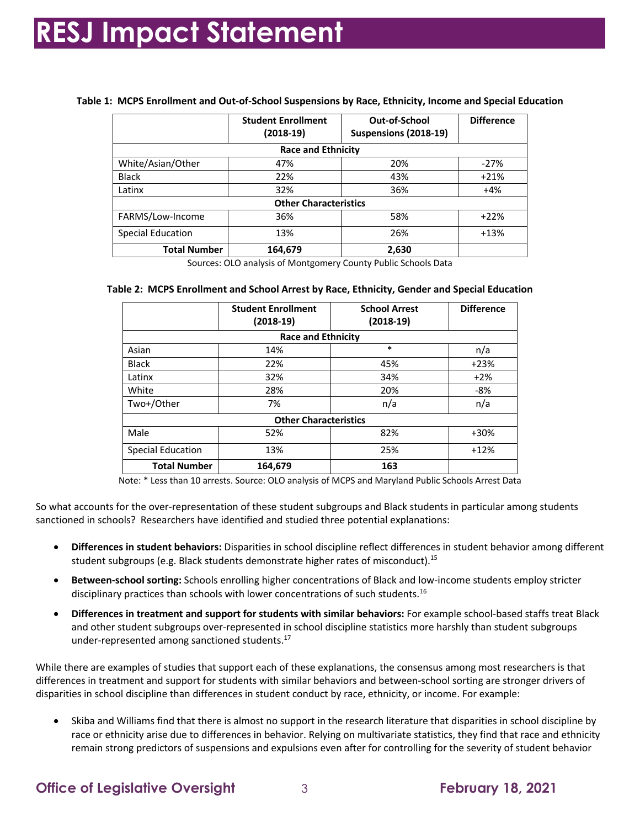|                              | <b>Student Enrollment</b><br>$(2018-19)$ | Out-of-School<br>Suspensions (2018-19) | <b>Difference</b> |  |  |
|------------------------------|------------------------------------------|----------------------------------------|-------------------|--|--|
| <b>Race and Ethnicity</b>    |                                          |                                        |                   |  |  |
| White/Asian/Other            | 47%                                      | 20%                                    | $-27%$            |  |  |
| <b>Black</b>                 | 22%                                      | 43%                                    | $+21%$            |  |  |
| Latinx                       | 32%                                      | 36%                                    | $+4%$             |  |  |
| <b>Other Characteristics</b> |                                          |                                        |                   |  |  |
| FARMS/Low-Income             | 36%                                      | 58%                                    | $+22%$            |  |  |
| <b>Special Education</b>     | 13%                                      | 26%                                    | $+13%$            |  |  |
| <b>Total Number</b>          | 164,679                                  | 2,630                                  |                   |  |  |

#### **Table 1: MCPS Enrollment and Out-of-School Suspensions by Race, Ethnicity, Income and Special Education**

Sources: OLO analysis of Montgomery County Public Schools Data

|                              | <b>Student Enrollment</b><br>$(2018-19)$ | <b>School Arrest</b><br>$(2018-19)$ | <b>Difference</b> |  |  |
|------------------------------|------------------------------------------|-------------------------------------|-------------------|--|--|
| <b>Race and Ethnicity</b>    |                                          |                                     |                   |  |  |
| Asian                        | 14%                                      | $\ast$                              | n/a               |  |  |
| <b>Black</b>                 | 22%                                      | 45%                                 | $+23%$            |  |  |
| Latinx                       | 32%                                      | 34%                                 | $+2%$             |  |  |
| White                        | 28%                                      | 20%                                 | -8%               |  |  |
| Two+/Other                   | 7%                                       | n/a                                 | n/a               |  |  |
| <b>Other Characteristics</b> |                                          |                                     |                   |  |  |
| Male                         | 52%                                      | 82%                                 | $+30%$            |  |  |
| <b>Special Education</b>     | 13%                                      | 25%                                 | $+12%$            |  |  |
| <b>Total Number</b>          | 164,679                                  | 163                                 |                   |  |  |

Note: \* Less than 10 arrests. Source: OLO analysis of MCPS and Maryland Public Schools Arrest Data

 So what accounts for the over-representation of these student subgroups and Black students in particular among students sanctioned in schools? Researchers have identified and studied three potential explanations:

- student subgroups (e.g. Black students demonstrate higher rates of misconduct).<sup>15</sup> • **Differences in student behaviors:** Disparities in school discipline reflect differences in student behavior among different
- **Between-school sorting:** Schools enrolling higher concentrations of Black and low-income students employ stricter disciplinary practices than schools with lower concentrations of such students.<sup>16</sup>
- **Differences in treatment and support for students with similar behaviors:** For example school-based staffs treat Black and other student subgroups over-represented in school discipline statistics more harshly than student subgroups under-represented among sanctioned [students.17](https://students.17)

 While there are examples of studies that support each of these explanations, the consensus among most researchers is that differences in treatment and support for students with similar behaviors and between-school sorting are stronger drivers of disparities in school discipline than differences in student conduct by race, ethnicity, or income. For example:

 • Skiba and Williams find that there is almost no support in the research literature that disparities in school discipline by race or ethnicity arise due to differences in behavior. Relying on multivariate statistics, they find that race and ethnicity remain strong predictors of suspensions and expulsions even after for controlling for the severity of student behavior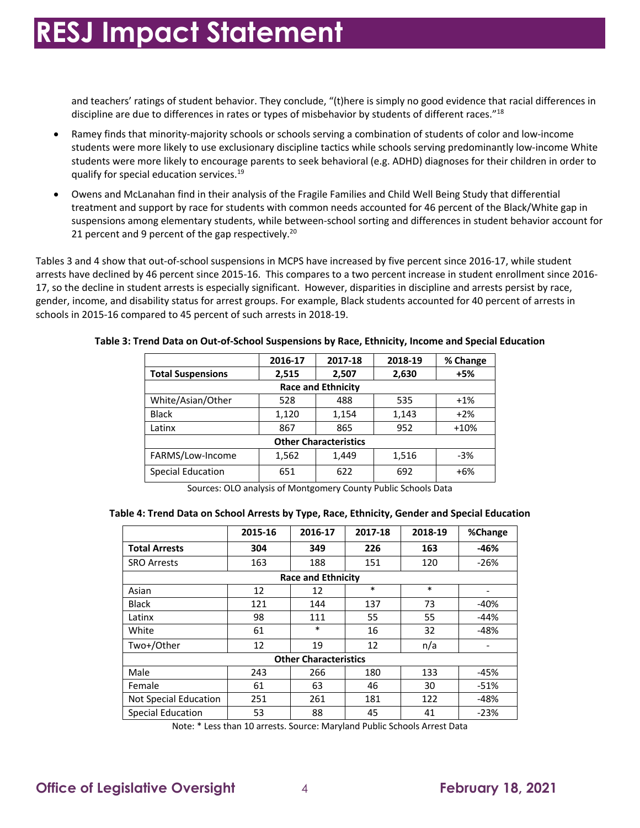and teachers' ratings of student behavior. They conclude, "(t)here is simply no good evidence that racial differences in discipline are due to differences in rates or types of misbehavior by students of different races."<sup>18</sup>

- • Ramey finds that minority-majority schools or schools serving a combination of students of color and low-income students were more likely to use exclusionary discipline tactics while schools serving predominantly low-income White students were more likely to encourage parents to seek behavioral (e.g. ADHD) diagnoses for their children in order to qualify for special education services.<sup>19</sup>
- • Owens and McLanahan find in their analysis of the Fragile Families and Child Well Being Study that differential suspensions among elementary students, while between-school sorting and differences in student behavior account for 21 percent and 9 percent of the gap respectively.<sup>20</sup> treatment and support by race for students with common needs accounted for 46 percent of the Black/White gap in

 Tables 3 and 4 show that out-of-school suspensions in MCPS have increased by five percent since 2016-17, while student arrests have declined by 46 percent since 2015-16. This compares to a two percent increase in student enrollment since 2016- 17, so the decline in student arrests is especially significant. However, disparities in discipline and arrests persist by race, gender, income, and disability status for arrest groups. For example, Black students accounted for 40 percent of arrests in schools in 2015-16 compared to 45 percent of such arrests in 2018-19.

|                              | 2016-17 | 2017-18 | 2018-19 | % Change |  |  |
|------------------------------|---------|---------|---------|----------|--|--|
| <b>Total Suspensions</b>     | 2,515   | 2,507   | 2,630   | $+5%$    |  |  |
| <b>Race and Ethnicity</b>    |         |         |         |          |  |  |
| White/Asian/Other            | 528     | 488     | 535     | $+1%$    |  |  |
| <b>Black</b>                 | 1,120   | 1,154   | 1,143   | $+2%$    |  |  |
| Latinx                       | 867     | 865     | 952     | $+10%$   |  |  |
| <b>Other Characteristics</b> |         |         |         |          |  |  |
| FARMS/Low-Income             | 1,562   | 1,449   | 1,516   | $-3%$    |  |  |
| <b>Special Education</b>     | 651     | 622     | 692     | $+6%$    |  |  |

#### **Table 3: Trend Data on Out-of-School Suspensions by Race, Ethnicity, Income and Special Education**

Sources: OLO analysis of Montgomery County Public Schools Data

#### **Table 4: Trend Data on School Arrests by Type, Race, Ethnicity, Gender and Special Education**

|                              | 2015-16 | 2016-17 | 2017-18 | 2018-19 | %Change |  |
|------------------------------|---------|---------|---------|---------|---------|--|
| <b>Total Arrests</b>         | 304     | 349     | 226     | 163     | $-46%$  |  |
| <b>SRO Arrests</b>           | 163     | 188     | 151     | 120     | $-26%$  |  |
| <b>Race and Ethnicity</b>    |         |         |         |         |         |  |
| Asian                        | 12      | 12      | $\ast$  | $\ast$  |         |  |
| <b>Black</b>                 | 121     | 144     | 137     | 73      | $-40%$  |  |
| Latinx                       | 98      | 111     | 55      | 55      | $-44%$  |  |
| White                        | 61      | $\ast$  | 16      | 32      | $-48%$  |  |
| Two+/Other                   | 12      | 19      | 12      | n/a     |         |  |
| <b>Other Characteristics</b> |         |         |         |         |         |  |
| Male                         | 243     | 266     | 180     | 133     | $-45%$  |  |
| Female                       | 61      | 63      | 46      | 30      | $-51%$  |  |
| Not Special Education        | 251     | 261     | 181     | 122     | $-48%$  |  |
| <b>Special Education</b>     | 53      | 88      | 45      | 41      | $-23%$  |  |

Note: \* Less than 10 arrests. Source: Maryland Public Schools Arrest Data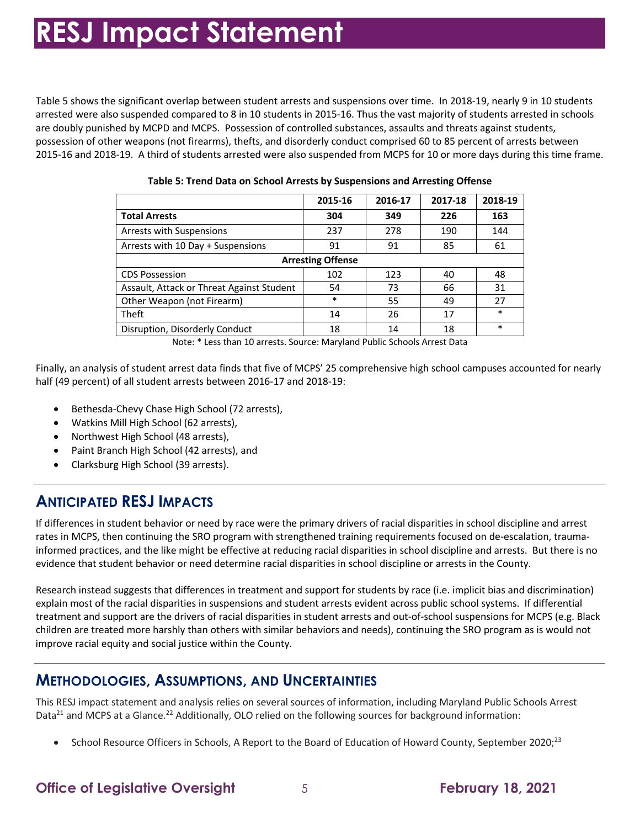Table 5 shows the significant overlap between student arrests and suspensions over time. In 2018-19, nearly 9 in 10 students arrested were also suspended compared to 8 in 10 students in 2015-16. Thus the vast majority of students arrested in schools are doubly punished by MCPD and MCPS. Possession of controlled substances, assaults and threats against students, possession of other weapons (not firearms), thefts, and disorderly conduct comprised 60 to 85 percent of arrests between 2015-16 and 2018-19. A third of students arrested were also suspended from MCPS for 10 or more days during this time frame.

|                                           | 2015-16 | 2016-17 | 2017-18 | 2018-19 |  |  |
|-------------------------------------------|---------|---------|---------|---------|--|--|
| <b>Total Arrests</b>                      | 304     | 349     | 226     | 163     |  |  |
| Arrests with Suspensions                  | 237     | 278     | 190     | 144     |  |  |
| Arrests with 10 Day + Suspensions         | 91      | 91      | 85      | 61      |  |  |
| <b>Arresting Offense</b>                  |         |         |         |         |  |  |
| <b>CDS Possession</b>                     | 102     | 123     | 40      | 48      |  |  |
| Assault, Attack or Threat Against Student | 54      | 73      | 66      | 31      |  |  |
| Other Weapon (not Firearm)                | $\ast$  | 55      | 49      | 27      |  |  |
| Theft                                     | 14      | 26      | 17      | $\ast$  |  |  |
| Disruption, Disorderly Conduct            | 18      | 14      | 18      | $\ast$  |  |  |

**Table 5: Trend Data on School Arrests by Suspensions and Arresting Offense** 

Note: \* Less than 10 arrests. Source: Maryland Public Schools Arrest Data

 half (49 percent) of all student arrests between 2016-17 and 2018-19: Finally, an analysis of student arrest data finds that five of MCPS' 25 comprehensive high school campuses accounted for nearly

- Bethesda-Chevy Chase High School (72 arrests),
- Watkins Mill High School (62 arrests),
- Northwest High School (48 arrests),
- Paint Branch High School (42 arrests), and
- Clarksburg High School (39 arrests).

## **ANTICIPATED RESJ IMPACTS**

 If differences in student behavior or need by race were the primary drivers of racial disparities in school discipline and arrest rates in MCPS, then continuing the SRO program with strengthened training requirements focused on de-escalation, trauma- informed practices, and the like might be effective at reducing racial disparities in school discipline and arrests. But there is no evidence that student behavior or need determine racial disparities in school discipline or arrests in the County.

 explain most of the racial disparities in suspensions and student arrests evident across public school systems. If differential treatment and support are the drivers of racial disparities in student arrests and out-of-school suspensions for MCPS (e.g. Black children are treated more harshly than others with similar behaviors and needs), continuing the SRO program as is would not improve racial equity and social justice within the County. Research instead suggests that differences in treatment and support for students by race (i.e. implicit bias and discrimination)

## **METHODOLOGIES, ASSUMPTIONS, AND UNCERTAINTIES**

 This RESJ impact statement and analysis relies on several sources of information, including Maryland Public Schools Arrest Data<sup>21</sup> and MCPS at a [Glance.](https://Glance.22)<sup>22</sup> Additionally, OLO relied on the following sources for background information:

• School Resource Officers in Schools, A Report to the Board of Education of Howard County, September 2020;<sup>23</sup>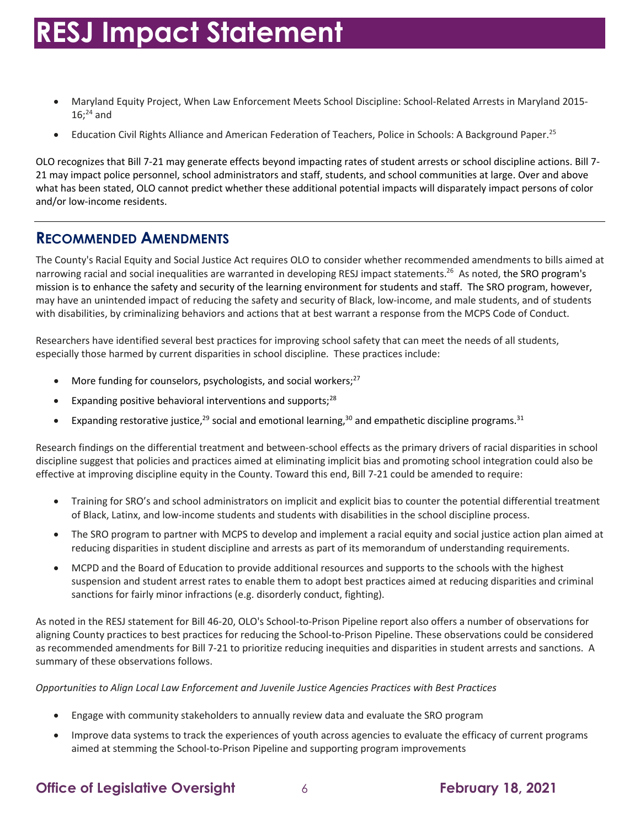- • Maryland Equity Project, When Law Enforcement Meets School Discipline: School-Related Arrests in Maryland 2015-  $16;^{24}$  and
- Education Civil Rights Alliance and American Federation of Teachers, Police in Schools: A Background [Paper.](https://Paper.25)<sup>25</sup>

 OLO recognizes that Bill 7-21 may generate effects beyond impacting rates of student arrests or school discipline actions. Bill 7- 21 may impact police personnel, school administrators and staff, students, and school communities at large. Over and above what has been stated, OLO cannot predict whether these additional potential impacts will disparately impact persons of color and/or low-income residents.

## **RECOMMENDED AMENDMENTS**

 The County's Racial Equity and Social Justice Act requires OLO to consider whether recommended amendments to bills aimed at narrowing racial and social inequalities are warranted in developing RESJ impact statements.<sup>26</sup> As noted, the SRO program's mission is to enhance the safety and security of the learning environment for students and staff. The SRO program, however, may have an unintended impact of reducing the safety and security of Black, low-income, and male students, and of students with disabilities, by criminalizing behaviors and actions that at best warrant a response from the MCPS Code of Conduct.

 Researchers have identified several best practices for improving school safety that can meet the needs of all students, especially those harmed by current disparities in school discipline. These practices include:

- More funding for counselors, psychologists, and social workers;<sup>27</sup>
- **•** Expanding positive behavioral interventions and supports;<sup>28</sup>
- Expanding restorative justice,<sup>29</sup> social and emotional learning,<sup>30</sup> and empathetic discipline programs.<sup>31</sup>

 Research findings on the differential treatment and between-school effects as the primary drivers of racial disparities in school discipline suggest that policies and practices aimed at eliminating implicit bias and promoting school integration could also be effective at improving discipline equity in the County. Toward this end, Bill 7-21 could be amended to require:

- • Training for SRO's and school administrators on implicit and explicit bias to counter the potential differential treatment of Black, Latinx, and low-income students and students with disabilities in the school discipline process.
- • The SRO program to partner with MCPS to develop and implement a racial equity and social justice action plan aimed at reducing disparities in student discipline and arrests as part of its memorandum of understanding requirements.
- • MCPD and the Board of Education to provide additional resources and supports to the schools with the highest suspension and student arrest rates to enable them to adopt best practices aimed at reducing disparities and criminal sanctions for fairly minor infractions (e.g. disorderly conduct, fighting).

 As noted in the RESJ statement for Bill 46-20, OLO's School-to-Prison Pipeline report also offers a number of observations for aligning County practices to best practices for reducing the School-to-Prison Pipeline. These observations could be considered as recommended amendments for Bill 7-21 to prioritize reducing inequities and disparities in student arrests and sanctions. A summary of these observations follows.

 *Opportunities to Align Local Law Enforcement and Juvenile Justice Agencies Practices with Best Practices* 

- Engage with community stakeholders to annually review data and evaluate the SRO program
- aimed at stemming the School-to-Prison Pipeline and supporting program improvements • Improve data systems to track the experiences of youth across agencies to evaluate the efficacy of current programs

## **Office of Legislative Oversight**  $\qquad \qquad 6$  **February 18, 2021**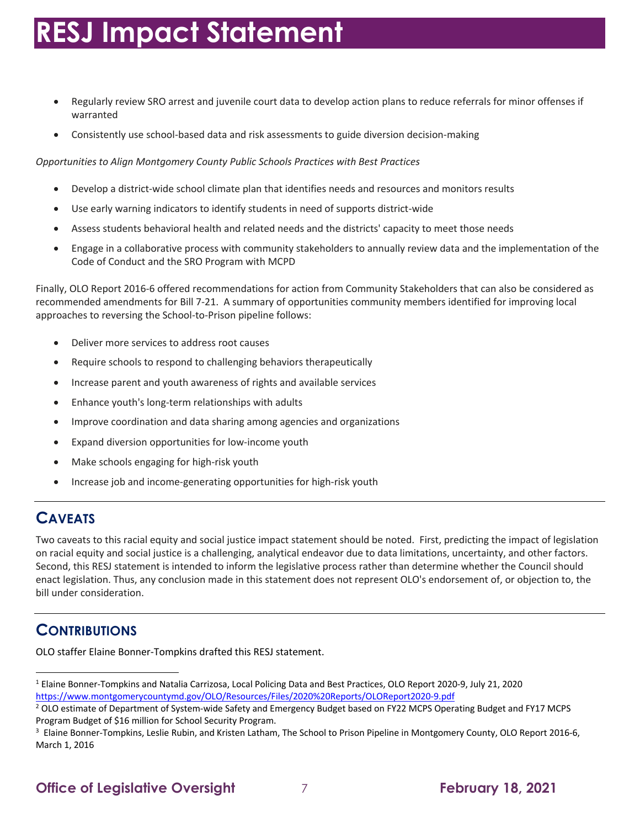- • Regularly review SRO arrest and juvenile court data to develop action plans to reduce referrals for minor offenses if warranted
- Consistently use school-based data and risk assessments to guide diversion decision-making

 *Opportunities to Align Montgomery County Public Schools Practices with Best Practices* 

- Develop a district-wide school climate plan that identifies needs and resources and monitors results
- Use early warning indicators to identify students in need of supports district-wide
- Assess students behavioral health and related needs and the districts' capacity to meet those needs
- • Engage in a collaborative process with community stakeholders to annually review data and the implementation of the Code of Conduct and the SRO Program with MCPD

 Finally, OLO Report 2016-6 offered recommendations for action from Community Stakeholders that can also be considered as recommended amendments for Bill 7-21. A summary of opportunities community members identified for improving local approaches to reversing the School-to-Prison pipeline follows:

- Deliver more services to address root causes
- Require schools to respond to challenging behaviors therapeutically
- Increase parent and youth awareness of rights and available services
- Enhance youth's long-term relationships with adults
- Improve coordination and data sharing among agencies and organizations
- Expand diversion opportunities for low-income youth
- Make schools engaging for high-risk youth
- Increase job and income-generating opportunities for high-risk youth

#### **CAVEATS**

 Two caveats to this racial equity and social justice impact statement should be noted. First, predicting the impact of legislation on racial equity and social justice is a challenging, analytical endeavor due to data limitations, uncertainty, and other factors. Second, this RESJ statement is intended to inform the legislative process rather than determine whether the Council should enact legislation. Thus, any conclusion made in this statement does not represent OLO's endorsement of, or objection to, the bill under consideration.

#### **CONTRIBUTIONS**

OLO staffer Elaine Bonner-Tompkins drafted this RESJ statement.

 $^1$  Elaine Bonner-Tompkins and Natalia Carrizosa, Local Policing Data and Best Practices, OLO Report 2020-9, July 21, 2020 https://www.montgomerycountymd.gov/OLO/Resources/Files/2020%20Reports/OLOReport2020-9.pdf

https://www.montgomerycountymd.gov/OLO/Resources/Files/2020%20Reports/OLOReport2020-9.pdf<br><sup>2</sup> OLO estimate of Department of System-wide Safety and Emergency Budget based on FY22 MCPS Operating Budget and FY17 MCPS Program Budget of \$16 million for School Security Program.

<sup>&</sup>lt;sup>3</sup> Elaine Bonner-Tompkins, Leslie Rubin, and Kristen Latham, The School to Prison Pipeline in Montgomery County, OLO Report 2016-6, March 1, 2016